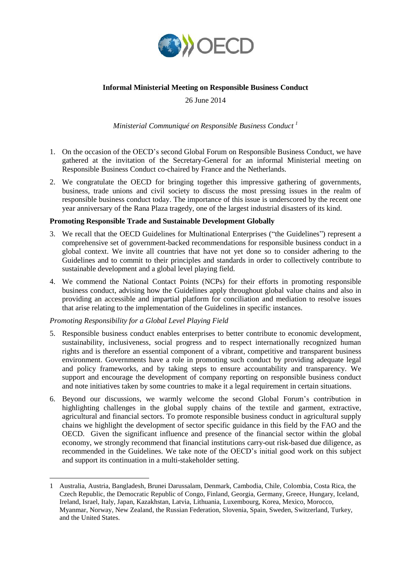

# **Informal Ministerial Meeting on Responsible Business Conduct**

26 June 2014

*Ministerial Communiqué on Responsible Business Conduct <sup>1</sup>*

- 1. On the occasion of the OECD's second Global Forum on Responsible Business Conduct, we have gathered at the invitation of the Secretary-General for an informal Ministerial meeting on Responsible Business Conduct co-chaired by France and the Netherlands.
- 2. We congratulate the OECD for bringing together this impressive gathering of governments, business, trade unions and civil society to discuss the most pressing issues in the realm of responsible business conduct today. The importance of this issue is underscored by the recent one year anniversary of the Rana Plaza tragedy, one of the largest industrial disasters of its kind.

# **Promoting Responsible Trade and Sustainable Development Globally**

- 3. We recall that the OECD Guidelines for Multinational Enterprises ("the Guidelines") represent a comprehensive set of government-backed recommendations for responsible business conduct in a global context. We invite all countries that have not yet done so to consider adhering to the Guidelines and to commit to their principles and standards in order to collectively contribute to sustainable development and a global level playing field.
- 4. We commend the National Contact Points (NCPs) for their efforts in promoting responsible business conduct, advising how the Guidelines apply throughout global value chains and also in providing an accessible and impartial platform for conciliation and mediation to resolve issues that arise relating to the implementation of the Guidelines in specific instances.

# *Promoting Responsibility for a Global Level Playing Field*

1

- 5. Responsible business conduct enables enterprises to better contribute to economic development, sustainability, inclusiveness, social progress and to respect internationally recognized human rights and is therefore an essential component of a vibrant, competitive and transparent business environment. Governments have a role in promoting such conduct by providing adequate legal and policy frameworks, and by taking steps to ensure accountability and transparency. We support and encourage the development of company reporting on responsible business conduct and note initiatives taken by some countries to make it a legal requirement in certain situations.
- 6. Beyond our discussions, we warmly welcome the second Global Forum's contribution in highlighting challenges in the global supply chains of the textile and garment, extractive, agricultural and financial sectors. To promote responsible business conduct in agricultural supply chains we highlight the development of sector specific guidance in this field by the FAO and the OECD. Given the significant influence and presence of the financial sector within the global economy, we strongly recommend that financial institutions carry-out risk-based due diligence, as recommended in the Guidelines. We take note of the OECD's initial good work on this subject and support its continuation in a multi-stakeholder setting.

<sup>1</sup> Australia, Austria, Bangladesh, Brunei Darussalam, Denmark, Cambodia, Chile, Colombia, Costa Rica, the Czech Republic, the Democratic Republic of Congo, Finland, Georgia, Germany, Greece, Hungary, Iceland, Ireland, Israel, Italy, Japan, Kazakhstan, Latvia, Lithuania, Luxembourg, Korea, Mexico, Morocco, Myanmar, Norway, New Zealand, the Russian Federation, Slovenia, Spain, Sweden, Switzerland, Turkey, and the United States.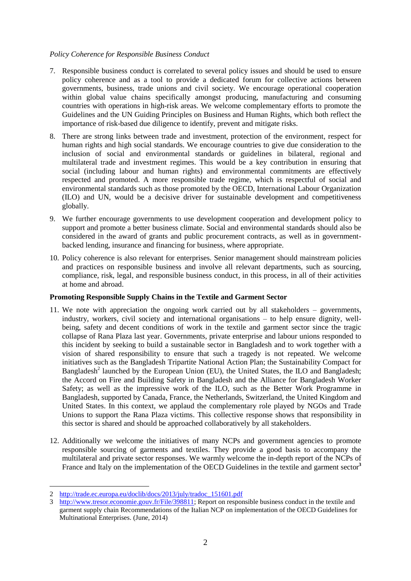# *Policy Coherence for Responsible Business Conduct*

- 7. Responsible business conduct is correlated to several policy issues and should be used to ensure policy coherence and as a tool to provide a dedicated forum for collective actions between governments, business, trade unions and civil society. We encourage operational cooperation within global value chains specifically amongst producing, manufacturing and consuming countries with operations in high-risk areas. We welcome complementary efforts to promote the Guidelines and the UN Guiding Principles on Business and Human Rights, which both reflect the importance of risk-based due diligence to identify, prevent and mitigate risks.
- 8. There are strong links between trade and investment, protection of the environment, respect for human rights and high social standards. We encourage countries to give due consideration to the inclusion of social and environmental standards or guidelines in bilateral, regional and multilateral trade and investment regimes. This would be a key contribution in ensuring that social (including labour and human rights) and environmental commitments are effectively respected and promoted. A more responsible trade regime, which is respectful of social and environmental standards such as those promoted by the OECD, International Labour Organization (ILO) and UN, would be a decisive driver for sustainable development and competitiveness globally.
- 9. We further encourage governments to use development cooperation and development policy to support and promote a better business climate. Social and environmental standards should also be considered in the award of grants and public procurement contracts, as well as in governmentbacked lending, insurance and financing for business, where appropriate.
- 10. Policy coherence is also relevant for enterprises. Senior management should mainstream policies and practices on responsible business and involve all relevant departments, such as sourcing, compliance, risk, legal, and responsible business conduct, in this process, in all of their activities at home and abroad.

# **Promoting Responsible Supply Chains in the Textile and Garment Sector**

- 11. We note with appreciation the ongoing work carried out by all stakeholders governments, industry, workers, civil society and international organisations – to help ensure dignity, wellbeing, safety and decent conditions of work in the textile and garment sector since the tragic collapse of Rana Plaza last year. Governments, private enterprise and labour unions responded to this incident by seeking to build a sustainable sector in Bangladesh and to work together with a vision of shared responsibility to ensure that such a tragedy is not repeated. We welcome initiatives such as the Bangladesh Tripartite National Action Plan; the Sustainability Compact for Bangladesh<sup>2</sup> launched by the European Union (EU), the United States, the ILO and Bangladesh; the Accord on Fire and Building Safety in Bangladesh and the Alliance for Bangladesh Worker Safety; as well as the impressive work of the ILO, such as the Better Work Programme in Bangladesh, supported by Canada, France, the Netherlands, Switzerland, the United Kingdom and United States. In this context, we applaud the complementary role played by NGOs and Trade Unions to support the Rana Plaza victims. This collective response shows that responsibility in this sector is shared and should be approached collaboratively by all stakeholders.
- 12. Additionally we welcome the initiatives of many NCPs and government agencies to promote responsible sourcing of garments and textiles. They provide a good basis to accompany the multilateral and private sector responses. We warmly welcome the in-depth report of the NCPs of France and Italy on the implementation of the OECD Guidelines in the textile and garment sector**<sup>3</sup>**

<u>.</u>

<sup>2</sup> [http://trade.ec.europa.eu/doclib/docs/2013/july/tradoc\\_151601.pdf](http://trade.ec.europa.eu/doclib/docs/2013/july/tradoc_151601.pdf)

<sup>3</sup> [http://www.tresor.economie.gouv.fr/File/398811;](http://www.tresor.economie.gouv.fr/File/398811) Report on responsible business conduct in the textile and garment supply chain Recommendations of the Italian NCP on implementation of the OECD Guidelines for Multinational Enterprises. (June, 2014)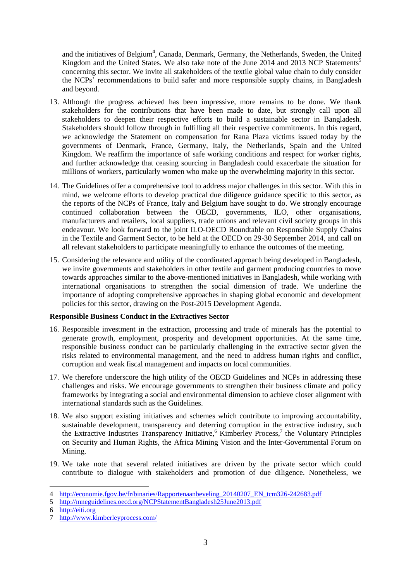and the initiatives of Belgium**<sup>4</sup>** , Canada, Denmark, Germany, the Netherlands, Sweden, the United Kingdom and the United States. We also take note of the June 2014 and 2013 NCP Statements<sup>5</sup> concerning this sector. We invite all stakeholders of the textile global value chain to duly consider the NCPs' recommendations to build safer and more responsible supply chains, in Bangladesh and beyond.

- 13. Although the progress achieved has been impressive, more remains to be done. We thank stakeholders for the contributions that have been made to date, but strongly call upon all stakeholders to deepen their respective efforts to build a sustainable sector in Bangladesh. Stakeholders should follow through in fulfilling all their respective commitments. In this regard, we acknowledge the Statement on compensation for Rana Plaza victims issued today by the governments of Denmark, France, Germany, Italy, the Netherlands, Spain and the United Kingdom. We reaffirm the importance of safe working conditions and respect for worker rights, and further acknowledge that ceasing sourcing in Bangladesh could exacerbate the situation for millions of workers, particularly women who make up the overwhelming majority in this sector.
- 14. The Guidelines offer a comprehensive tool to address major challenges in this sector. With this in mind, we welcome efforts to develop practical due diligence guidance specific to this sector, as the reports of the NCPs of France, Italy and Belgium have sought to do. We strongly encourage continued collaboration between the OECD, governments, ILO, other organisations, manufacturers and retailers, local suppliers, trade unions and relevant civil society groups in this endeavour. We look forward to the joint ILO-OECD Roundtable on Responsible Supply Chains in the Textile and Garment Sector, to be held at the OECD on 29-30 September 2014, and call on all relevant stakeholders to participate meaningfully to enhance the outcomes of the meeting.
- 15. Considering the relevance and utility of the coordinated approach being developed in Bangladesh, we invite governments and stakeholders in other textile and garment producing countries to move towards approaches similar to the above-mentioned initiatives in Bangladesh, while working with international organisations to strengthen the social dimension of trade. We underline the importance of adopting comprehensive approaches in shaping global economic and development policies for this sector, drawing on the Post-2015 Development Agenda.

# **Responsible Business Conduct in the Extractives Sector**

- 16. Responsible investment in the extraction, processing and trade of minerals has the potential to generate growth, employment, prosperity and development opportunities. At the same time, responsible business conduct can be particularly challenging in the extractive sector given the risks related to environmental management, and the need to address human rights and conflict, corruption and weak fiscal management and impacts on local communities.
- 17. We therefore underscore the high utility of the OECD Guidelines and NCPs in addressing these challenges and risks. We encourage governments to strengthen their business climate and policy frameworks by integrating a social and environmental dimension to achieve closer alignment with international standards such as the Guidelines.
- 18. We also support existing initiatives and schemes which contribute to improving accountability, sustainable development, transparency and deterring corruption in the extractive industry, such the Extractive Industries Transparency Initiative,<sup>6</sup> Kimberley Process,<sup>7</sup> the Voluntary Principles on Security and Human Rights, the Africa Mining Vision and the Inter-Governmental Forum on Mining.
- 19. We take note that several related initiatives are driven by the private sector which could contribute to dialogue with stakeholders and promotion of due diligence. Nonetheless, we

<u>.</u>

<sup>4</sup> [http://economie.fgov.be/fr/binaries/Rapportenaanbeveling\\_20140207\\_EN\\_tcm326-242683.pdf](http://economie.fgov.be/fr/binaries/Rapportenaanbeveling_20140207_EN_tcm326-242683.pdf)

<sup>5</sup> <http://mneguidelines.oecd.org/NCPStatementBangladesh25June2013.pdf>

<sup>6</sup> [http://eiti.org](http://eiti.org/)

<sup>7</sup> <http://www.kimberleyprocess.com/>